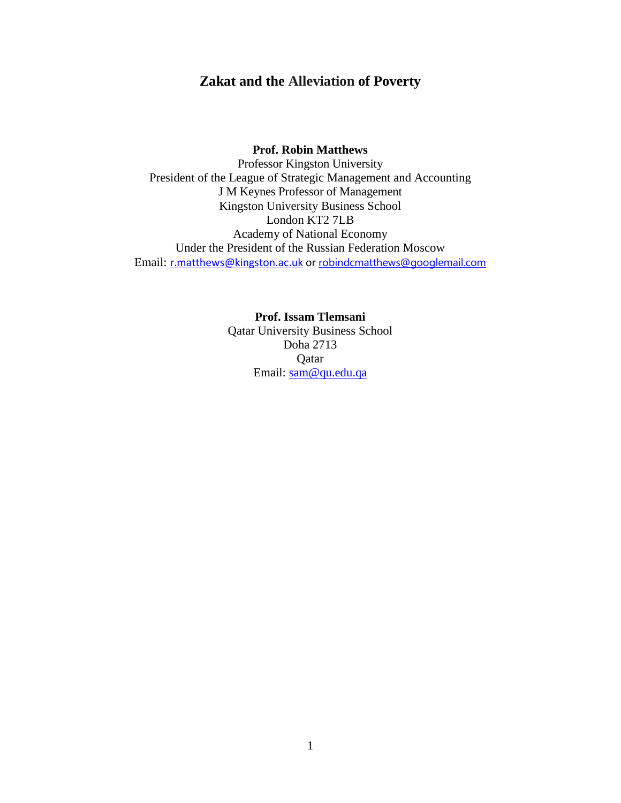# **Zakat and the Alleviation of Poverty**

### **Prof. Robin Matthews**

Professor Kingston University President of the League of Strategic Management and Accounting J M Keynes Professor of Management Kingston University Business School London KT2 7LB Academy of National Economy Under the President of the Russian Federation Moscow Email: [r.matthews@kingston.ac.uk](mailto:r.matthews@kingston.ac.uk) or [robindcmatthews@googlemail.com](mailto:robindcmatthews@googlemail.com)

> <span id="page-0-0"></span>**Prof. Issam Tlemsani** Qatar University Business School Doha 2713 Qatar Email: [sam@qu.edu.qa](mailto:sam@qu.edu.qa)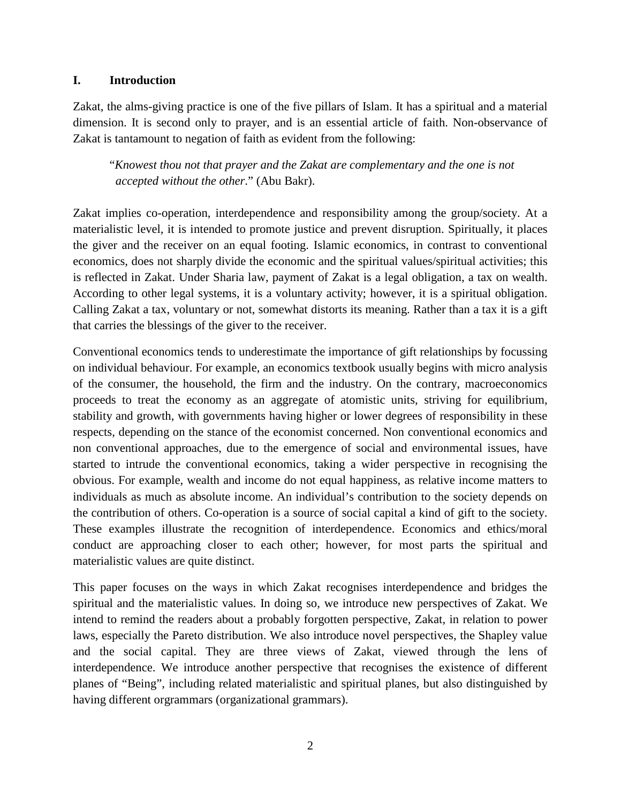### **I. Introduction**

Zakat, the alms-giving practice is one of the five pillars of Islam. It has a spiritual and a material dimension. It is second only to prayer, and is an essential article of faith. Non-observance of Zakat is tantamount to negation of faith as evident from the following:

"*Knowest thou not that prayer and the Zakat are complementary and the one is not accepted without the other*." (Abu Bakr).

Zakat implies co-operation, interdependence and responsibility among the group/society. At a materialistic level, it is intended to promote justice and prevent disruption. Spiritually, it places the giver and the receiver on an equal footing. Islamic economics, in contrast to conventional economics, does not sharply divide the economic and the spiritual values/spiritual activities; this is reflected in Zakat. Under Sharia law, payment of Zakat is a legal obligation, a tax on wealth. According to other legal systems, it is a voluntary activity; however, it is a spiritual obligation. Calling Zakat a tax, voluntary or not, somewhat distorts its meaning. Rather than a tax it is a gift that carries the blessings of the giver to the receiver.

Conventional economics tends to underestimate the importance of gift relationships by focussing on individual behaviour. For example, an economics textbook usually begins with micro analysis of the consumer, the household, the firm and the industry. On the contrary, macroeconomics proceeds to treat the economy as an aggregate of atomistic units, striving for equilibrium, stability and growth, with governments having higher or lower degrees of responsibility in these respects, depending on the stance of the economist concerned. Non conventional economics and non conventional approaches, due to the emergence of social and environmental issues, have started to intrude the conventional economics, taking a wider perspective in recognising the obvious. For example, wealth and income do not equal happiness, as relative income matters to individuals as much as absolute income. An individual's contribution to the society depends on the contribution of others. Co-operation is a source of social capital a kind of gift to the society. These examples illustrate the recognition of interdependence. Economics and ethics/moral conduct are approaching closer to each other; however, for most parts the spiritual and materialistic values are quite distinct.

This paper focuses on the ways in which Zakat recognises interdependence and bridges the spiritual and the materialistic values. In doing so, we introduce new perspectives of Zakat. We intend to remind the readers about a probably forgotten perspective, Zakat, in relation to power laws, especially the Pareto distribution. We also introduce novel perspectives, the Shapley value and the social capital. They are three views of Zakat, viewed through the lens of interdependence. We introduce another perspective that recognises the existence of different planes of "Being", including related materialistic and spiritual planes, but also distinguished by having different orgrammars (organizational grammars).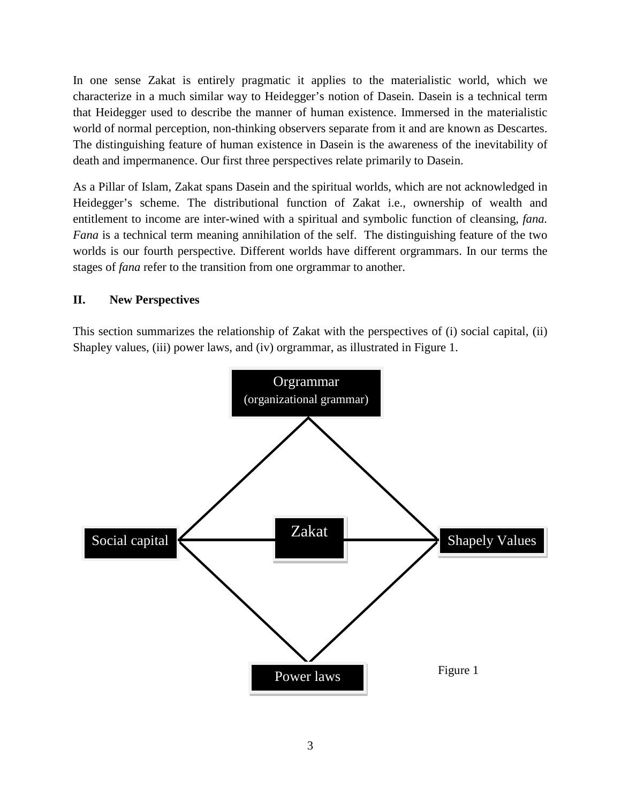In one sense Zakat is entirely pragmatic it applies to the materialistic world, which we characterize in a much similar way to Heidegger's notion of Dasein. Dasein is a technical term that Heidegger used to describe the manner of human existence. Immersed in the materialistic world of normal perception, non-thinking observers separate from it and are known as Descartes. The distinguishing feature of human existence in Dasein is the awareness of the inevitability of death and impermanence. Our first three perspectives relate primarily to Dasein.

As a Pillar of Islam, Zakat spans Dasein and the spiritual worlds, which are not acknowledged in Heidegger's scheme. The distributional function of Zakat i.e., ownership of wealth and entitlement to income are inter-wined with a spiritual and symbolic function of cleansing, *fana. Fana* is a technical term meaning annihilation of the self. The distinguishing feature of the two worlds is our fourth perspective. Different worlds have different orgrammars. In our terms the stages of *fana* refer to the transition from one orgrammar to another.

## **II. New Perspectives**

This section summarizes the relationship of Zakat with the perspectives of (i) social capital, (ii) Shapley values, (iii) power laws, and (iv) orgrammar, as illustrated in Figure 1.

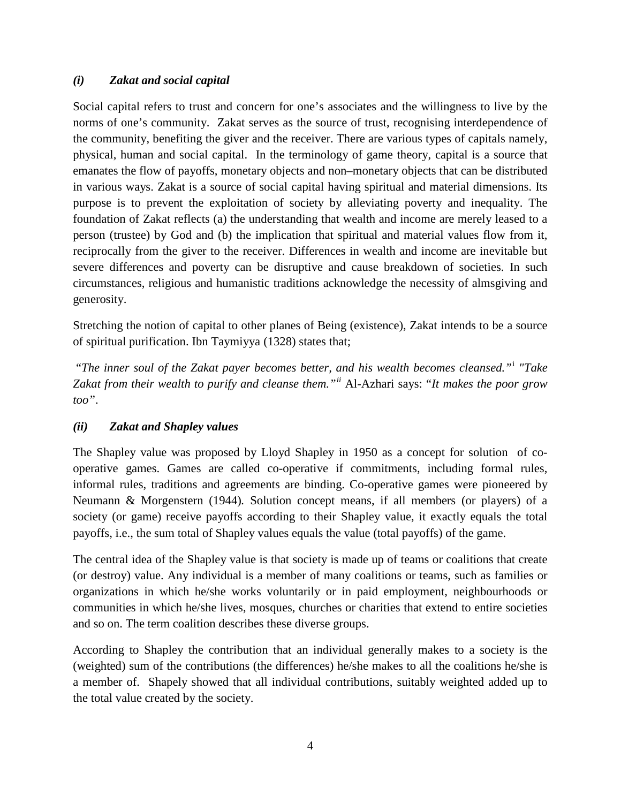## *(i) Zakat and social capital*

Social capital refers to trust and concern for one's associates and the willingness to live by the norms of one's community. Zakat serves as the source of trust, recognising interdependence of the community, benefiting the giver and the receiver. There are various types of capitals namely, physical, human and social capital. In the terminology of game theory, capital is a source that emanates the flow of payoffs, monetary objects and non–monetary objects that can be distributed in various ways. Zakat is a source of social capital having spiritual and material dimensions. Its purpose is to prevent the exploitation of society by alleviating poverty and inequality. The foundation of Zakat reflects (a) the understanding that wealth and income are merely leased to a person (trustee) by God and (b) the implication that spiritual and material values flow from it, reciprocally from the giver to the receiver. Differences in wealth and income are inevitable but severe differences and poverty can be disruptive and cause breakdown of societies. In such circumstances, religious and humanistic traditions acknowledge the necessity of almsgiving and generosity.

Stretching the notion of capital to other planes of Being (existence), Zakat intends to be a source of spiritual purification. Ibn Taymiyya (1328) states that;

"*The inner soul of the Zakat payer becomes better, and his wealth becomes cleansed."*[i](#page-16-0) *"Take Zakat from their wealth to purify and cleanse them."[ii](#page-16-1)* Al-Azhari says: "*It makes the poor grow too"*.

## *(ii) Zakat and Shapley values*

The Shapley value was proposed by Lloyd Shapley in 1950 as a concept for solution of cooperative games. Games are called co-operative if commitments, including formal rules, informal rules, traditions and agreements are binding. Co-operative games were pioneered by Neumann & Morgenstern (1944)*.* Solution concept means, if all members (or players) of a society (or game) receive payoffs according to their Shapley value, it exactly equals the total payoffs, i.e., the sum total of Shapley values equals the value (total payoffs) of the game.

The central idea of the Shapley value is that society is made up of teams or coalitions that create (or destroy) value. Any individual is a member of many coalitions or teams, such as families or organizations in which he/she works voluntarily or in paid employment, neighbourhoods or communities in which he/she lives, mosques, churches or charities that extend to entire societies and so on. The term coalition describes these diverse groups.

According to Shapley the contribution that an individual generally makes to a society is the (weighted) sum of the contributions (the differences) he/she makes to all the coalitions he/she is a member of. Shapely showed that all individual contributions, suitably weighted added up to the total value created by the society.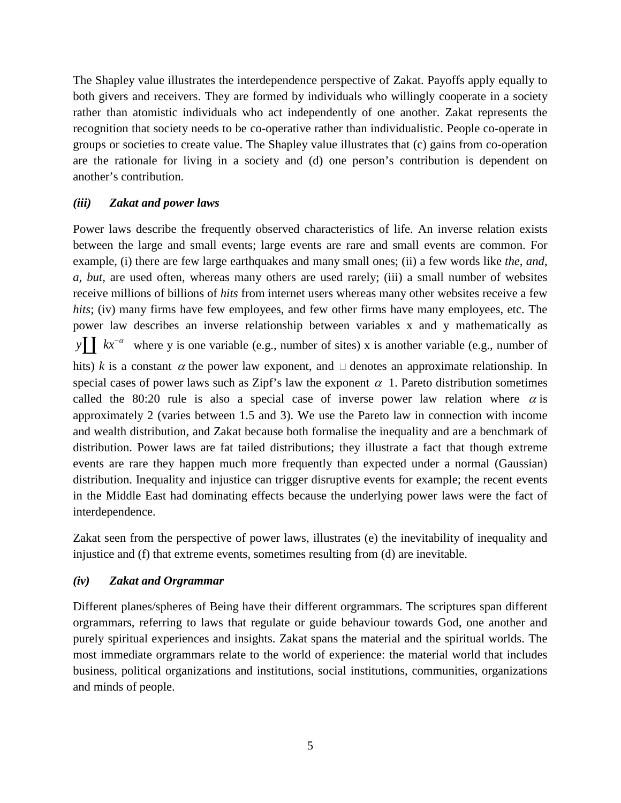The Shapley value illustrates the interdependence perspective of Zakat. Payoffs apply equally to both givers and receivers. They are formed by individuals who willingly cooperate in a society rather than atomistic individuals who act independently of one another. Zakat represents the recognition that society needs to be co-operative rather than individualistic. People co-operate in groups or societies to create value. The Shapley value illustrates that (c) gains from co-operation are the rationale for living in a society and (d) one person's contribution is dependent on another's contribution.

#### *(iii) Zakat and power laws*

Power laws describe the frequently observed characteristics of life. An inverse relation exists between the large and small events; large events are rare and small events are common. For example, (i) there are few large earthquakes and many small ones; (ii) a few words like *the*, *and*, *a, but,* are used often, whereas many others are used rarely; (iii) a small number of websites receive millions of billions of *hits* from internet users whereas many other websites receive a few *hits*; (iv) many firms have few employees, and few other firms have many employees, etc. The power law describes an inverse relationship between variables x and y mathematically as *y k*<sup> $\alpha$ </sup> where y is one variable (e.g., number of sites) x is another variable (e.g., number of hits) *k* is a constant  $\alpha$  the power law exponent, and  $\Box$  denotes an approximate relationship. In special cases of power laws such as Zipf's law the exponent  $\alpha$  1. Pareto distribution sometimes called the 80:20 rule is also a special case of inverse power law relation where  $\alpha$  is approximately 2 (varies between 1.5 and 3). We use the Pareto law in connection with income and wealth distribution, and Zakat because both formalise the inequality and are a benchmark of distribution. Power laws are fat tailed distributions; they illustrate a fact that though extreme events are rare they happen much more frequently than expected under a normal (Gaussian) distribution. Inequality and injustice can trigger disruptive events for example; the recent events in the Middle East had dominating effects because the underlying power laws were the fact of interdependence.

Zakat seen from the perspective of power laws, illustrates (e) the inevitability of inequality and injustice and (f) that extreme events, sometimes resulting from (d) are inevitable.

### *(iv) Zakat and Orgrammar*

Different planes/spheres of Being have their different orgrammars. The scriptures span different orgrammars, referring to laws that regulate or guide behaviour towards God, one another and purely spiritual experiences and insights. Zakat spans the material and the spiritual worlds. The most immediate orgrammars relate to the world of experience: the material world that includes business, political organizations and institutions, social institutions, communities, organizations and minds of people.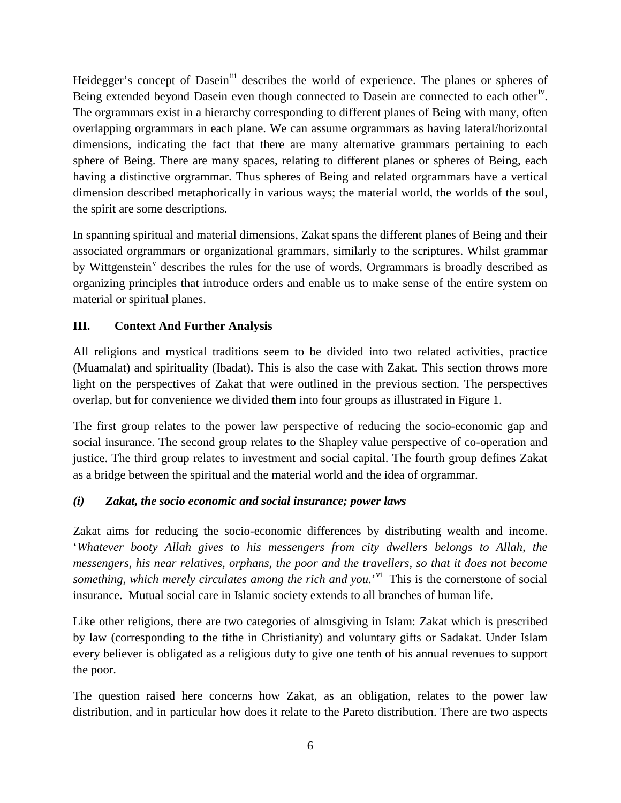Heidegger's concept of Dasein<sup>[iii](#page-16-2)</sup> describes the world of experience. The planes or spheres of Being extended beyond Dasein even though connected to Dasein are connected to each other<sup>[iv](#page-16-3)</sup>. The orgrammars exist in a hierarchy corresponding to different planes of Being with many, often overlapping orgrammars in each plane. We can assume orgrammars as having lateral/horizontal dimensions, indicating the fact that there are many alternative grammars pertaining to each sphere of Being. There are many spaces, relating to different planes or spheres of Being, each having a distinctive orgrammar. Thus spheres of Being and related orgrammars have a vertical dimension described metaphorically in various ways; the material world, the worlds of the soul, the spirit are some descriptions*.*

In spanning spiritual and material dimensions, Zakat spans the different planes of Being and their associated orgrammars or organizational grammars, similarly to the scriptures. Whilst grammar by Wittgenstein<sup>[v](#page-16-4)</sup> describes the rules for the use of words, Orgrammars is broadly described as organizing principles that introduce orders and enable us to make sense of the entire system on material or spiritual planes.

# **III. Context And Further Analysis**

All religions and mystical traditions seem to be divided into two related activities, practice (Muamalat) and spirituality (Ibadat). This is also the case with Zakat. This section throws more light on the perspectives of Zakat that were outlined in the previous section. The perspectives overlap, but for convenience we divided them into four groups as illustrated in Figure 1.

The first group relates to the power law perspective of reducing the socio-economic gap and social insurance. The second group relates to the Shapley value perspective of co-operation and justice. The third group relates to investment and social capital. The fourth group defines Zakat as a bridge between the spiritual and the material world and the idea of orgrammar.

## *(i) Zakat, the socio economic and social insurance; power laws*

Zakat aims for reducing the socio-economic differences by distributing wealth and income. '*Whatever booty Allah gives to his messengers from city dwellers belongs to Allah, the messengers, his near relatives, orphans, the poor and the travellers, so that it does not become something, which merely circulates among the rich and you.*<sup>'[vi](#page-16-5)</sup> This is the cornerstone of social insurance. Mutual social care in Islamic society extends to all branches of human life.

Like other religions, there are two categories of almsgiving in Islam: Zakat which is prescribed by law (corresponding to the tithe in Christianity) and voluntary gifts or Sadakat. Under Islam every believer is obligated as a religious duty to give one tenth of his annual revenues to support the poor.

The question raised here concerns how Zakat, as an obligation, relates to the power law distribution, and in particular how does it relate to the Pareto distribution. There are two aspects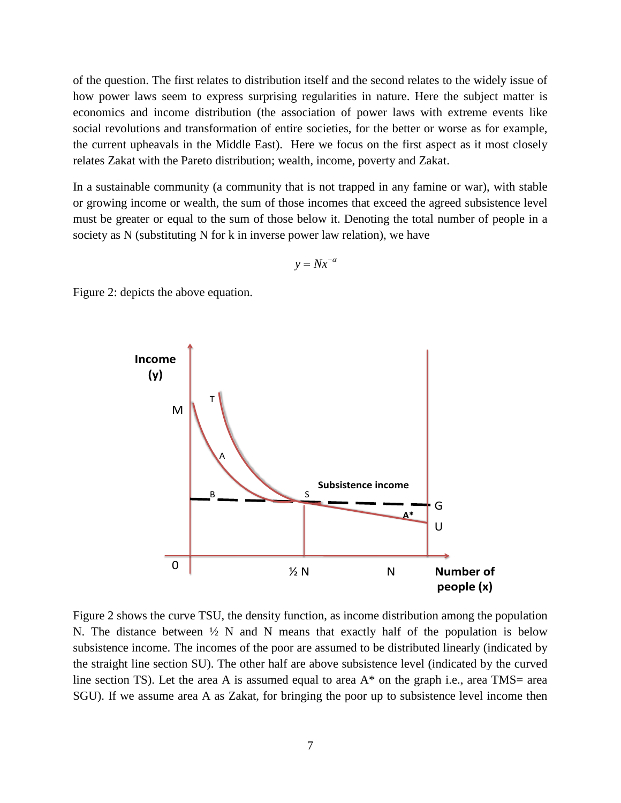of the question. The first relates to distribution itself and the second relates to the widely issue of how power laws seem to express surprising regularities in nature. Here the subject matter is economics and income distribution (the association of power laws with extreme events like social revolutions and transformation of entire societies, for the better or worse as for example, the current upheavals in the Middle East). Here we focus on the first aspect as it most closely relates Zakat with the Pareto distribution; wealth, income, poverty and Zakat.

In a sustainable community (a community that is not trapped in any famine or war), with stable or growing income or wealth, the sum of those incomes that exceed the agreed subsistence level must be greater or equal to the sum of those below it. Denoting the total number of people in a society as N (substituting N for k in inverse power law relation), we have

$$
y = Nx^{-\alpha}
$$

Figure 2: depicts the above equation.



Figure 2 shows the curve TSU, the density function, as income distribution among the population N. The distance between  $\frac{1}{2}$  N and N means that exactly half of the population is below subsistence income. The incomes of the poor are assumed to be distributed linearly (indicated by the straight line section SU). The other half are above subsistence level (indicated by the curved line section TS). Let the area A is assumed equal to area  $A^*$  on the graph i.e., area TMS= area SGU). If we assume area A as Zakat, for bringing the poor up to subsistence level income then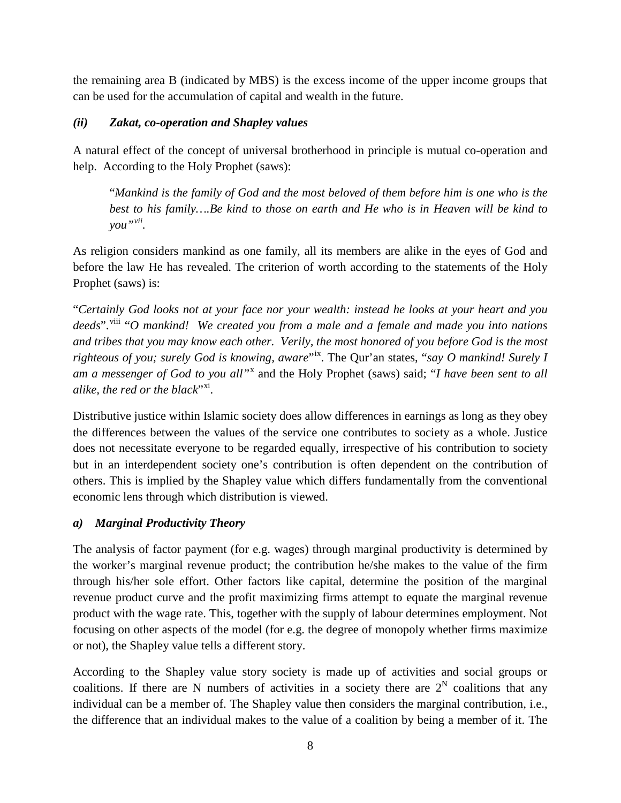the remaining area B (indicated by MBS) is the excess income of the upper income groups that can be used for the accumulation of capital and wealth in the future.

## *(ii) Zakat, co-operation and Shapley values*

A natural effect of the concept of universal brotherhood in principle is mutual co-operation and help. According to the Holy Prophet (saws):

"*Mankind is the family of God and the most beloved of them before him is one who is the best to his family….Be kind to those on earth and He who is in Heaven will be kind to you"[vii.](#page-16-6)*

As religion considers mankind as one family, all its members are alike in the eyes of God and before the law He has revealed. The criterion of worth according to the statements of the Holy Prophet (saws) is:

"*Certainly God looks not at your face nor your wealth: instead he looks at your heart and you*  deeds".<sup>[viii](#page-16-7)</sup> "*O mankind!* We created you from a male and a female and made you into nations *and tribes that you may know each other. Verily, the most honored of you before God is the most righteous of you; surely God is knowing, aware*"[ix.](#page-16-8) The Qur'an states, "*say O mankind! Surely I am a messenger of God to you all"*[x](#page-16-9) and the Holy Prophet (saws) said; "*I have been sent to all alike, the red or the black*"<sup>[xi](#page-16-10)</sup>.

Distributive justice within Islamic society does allow differences in earnings as long as they obey the differences between the values of the service one contributes to society as a whole. Justice does not necessitate everyone to be regarded equally, irrespective of his contribution to society but in an interdependent society one's contribution is often dependent on the contribution of others. This is implied by the Shapley value which differs fundamentally from the conventional economic lens through which distribution is viewed.

## *a) Marginal Productivity Theory*

The analysis of factor payment (for e.g. wages) through marginal productivity is determined by the worker's marginal revenue product; the contribution he/she makes to the value of the firm through his/her sole effort. Other factors like capital, determine the position of the marginal revenue product curve and the profit maximizing firms attempt to equate the marginal revenue product with the wage rate. This, together with the supply of labour determines employment. Not focusing on other aspects of the model (for e.g. the degree of monopoly whether firms maximize or not), the Shapley value tells a different story.

According to the Shapley value story society is made up of activities and social groups or coalitions. If there are N numbers of activities in a society there are  $2^N$  coalitions that any individual can be a member of. The Shapley value then considers the marginal contribution, i.e., the difference that an individual makes to the value of a coalition by being a member of it. The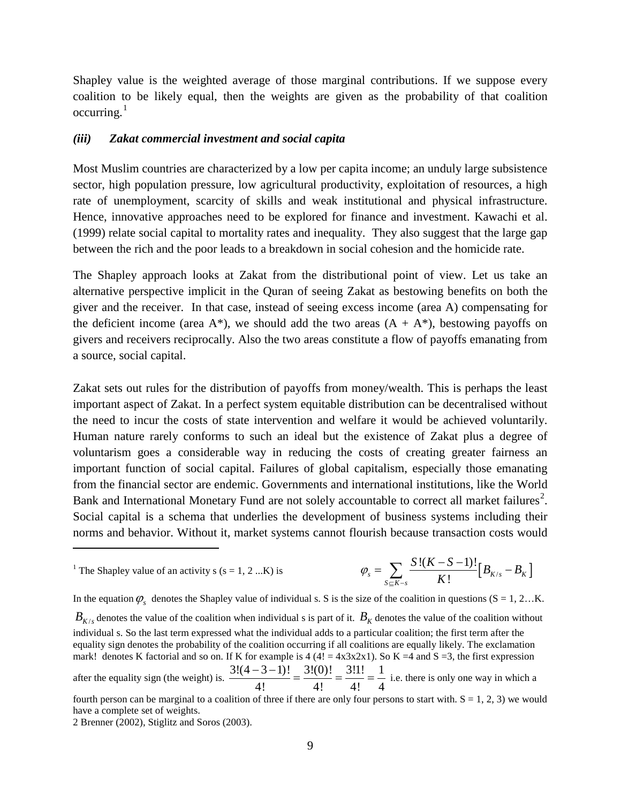Shapley value is the weighted average of those marginal contributions. If we suppose every coalition to be likely equal, then the weights are given as the probability of that coalition  $occuring.<sup>1</sup>$  $occuring.<sup>1</sup>$  $occuring.<sup>1</sup>$ 

#### *(iii) Zakat commercial investment and social capita*

Most Muslim countries are characterized by a low per capita income; an unduly large subsistence sector, high population pressure, low agricultural productivity, exploitation of resources, a high rate of unemployment, scarcity of skills and weak institutional and physical infrastructure. Hence, innovative approaches need to be explored for finance and investment. Kawachi et al. (1999) relate social capital to mortality rates and inequality. They also suggest that the large gap between the rich and the poor leads to a breakdown in social cohesion and the homicide rate.

The Shapley approach looks at Zakat from the distributional point of view. Let us take an alternative perspective implicit in the Quran of seeing Zakat as bestowing benefits on both the giver and the receiver. In that case, instead of seeing excess income (area A) compensating for the deficient income (area  $A^*$ ), we should add the two areas  $(A + A^*)$ , bestowing payoffs on givers and receivers reciprocally. Also the two areas constitute a flow of payoffs emanating from a source, social capital.

Zakat sets out rules for the distribution of payoffs from money/wealth. This is perhaps the least important aspect of Zakat. In a perfect system equitable distribution can be decentralised without the need to incur the costs of state intervention and welfare it would be achieved voluntarily. Human nature rarely conforms to such an ideal but the existence of Zakat plus a degree of voluntarism goes a considerable way in reducing the costs of creating greater fairness an important function of social capital. Failures of global capitalism, especially those emanating from the financial sector are endemic. Governments and international institutions, like the World Bank and International Monetary Fund are not solely accountable to correct all market failures<sup>[2](#page-8-0)</sup>. Social capital is a schema that underlies the development of business systems including their norms and behavior. Without it, market systems cannot flourish because transaction costs would

In the equation  $\varphi_s$  denotes the Shapley value of individual s. S is the size of the coalition in questions (S = 1, 2…K.)

 $B_{K/s}$  denotes the value of the coalition when individual s is part of it.  $B_K$  denotes the value of the coalition without individual s. So the last term expressed what the individual adds to a particular coalition; the first term after the equality sign denotes the probability of the coalition occurring if all coalitions are equally likely. The exclamation mark! denotes K factorial and so on. If K for example is  $4(4! = 4x3x2x1)$ . So K =4 and S =3, the first expression

<span id="page-8-1"></span>after the equality sign (the weight) is.  $\frac{3!(4-3-1)!}{1!} = \frac{3!(0)!}{1!} = \frac{3!1!}{1!} = \frac{1}{1!}$ 4! 4! 4! 4  $\frac{(-3-1)!}{-3!} = \frac{3!(0)!}{...} = \frac{3!1!}{...} = \frac{1}{...}$  i.e. there is only one way in which a

 $\overline{a}$ 

<sup>&</sup>lt;sup>1</sup> The Shapley value of an activity s (s = 1, 2 ...K) is  $\varphi_s = \sum_{S \subseteq K-s} \frac{S!(K-S-1)!}{K!} [B_{K/s} - B_K]$  $\frac{S!(K-S-1)!}{K!} [B_{K/s}-B]$  $\varphi_s = \sum_{S \subseteq K - s} \frac{S!(K - S - 1)!}{K!} [B_{K/s} - B_K]$ 

fourth person can be marginal to a coalition of three if there are only four persons to start with.  $S = 1, 2, 3$ ) we would have a complete set of weights.

<span id="page-8-0"></span><sup>2</sup> Brenner (2002), Stiglitz and Soros (2003).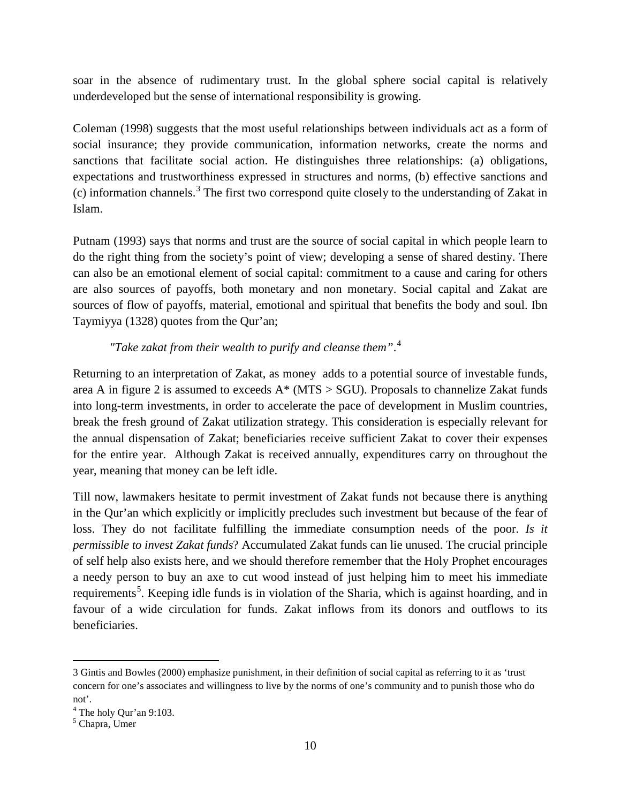soar in the absence of rudimentary trust. In the global sphere social capital is relatively underdeveloped but the sense of international responsibility is growing.

Coleman (1998) suggests that the most useful relationships between individuals act as a form of social insurance; they provide communication, information networks, create the norms and sanctions that facilitate social action. He distinguishes three relationships: (a) obligations, expectations and trustworthiness expressed in structures and norms, (b) effective sanctions and (c) information channels.[3](#page-8-1) The first two correspond quite closely to the understanding of Zakat in Islam.

Putnam (1993) says that norms and trust are the source of social capital in which people learn to do the right thing from the society's point of view; developing a sense of shared destiny. There can also be an emotional element of social capital: commitment to a cause and caring for others are also sources of payoffs, both monetary and non monetary. Social capital and Zakat are sources of flow of payoffs, material, emotional and spiritual that benefits the body and soul. Ibn Taymiyya (1328) quotes from the Qur'an;

# *"Take zakat from their wealth to purify and cleanse them"*. [4](#page-9-0)

Returning to an interpretation of Zakat, as money adds to a potential source of investable funds, area A in figure 2 is assumed to exceeds  $A^*$  (MTS  $>$  SGU). Proposals to channelize Zakat funds into long-term investments, in order to accelerate the pace of development in Muslim countries, break the fresh ground of Zakat utilization strategy. This consideration is especially relevant for the annual dispensation of Zakat; beneficiaries receive sufficient Zakat to cover their expenses for the entire year. Although Zakat is received annually, expenditures carry on throughout the year, meaning that money can be left idle.

Till now, lawmakers hesitate to permit investment of Zakat funds not because there is anything in the Qur'an which explicitly or implicitly precludes such investment but because of the fear of loss. They do not facilitate fulfilling the immediate consumption needs of the poor. *Is it permissible to invest Zakat funds*? Accumulated Zakat funds can lie unused. The crucial principle of self help also exists here, and we should therefore remember that the Holy Prophet encourages a needy person to buy an axe to cut wood instead of just helping him to meet his immediate requirements<sup>[5](#page-9-1)</sup>. Keeping idle funds is in violation of the Sharia, which is against hoarding, and in favour of a wide circulation for funds. Zakat inflows from its donors and outflows to its beneficiaries.

 $\overline{a}$ 

<sup>3</sup> Gintis and Bowles (2000) emphasize punishment, in their definition of social capital as referring to it as 'trust concern for one's associates and willingness to live by the norms of one's community and to punish those who do not'.

<span id="page-9-0"></span> $^{4}$  The holy Qur'an 9:103.<br> $^{5}$  Chapra, Umer

<span id="page-9-1"></span>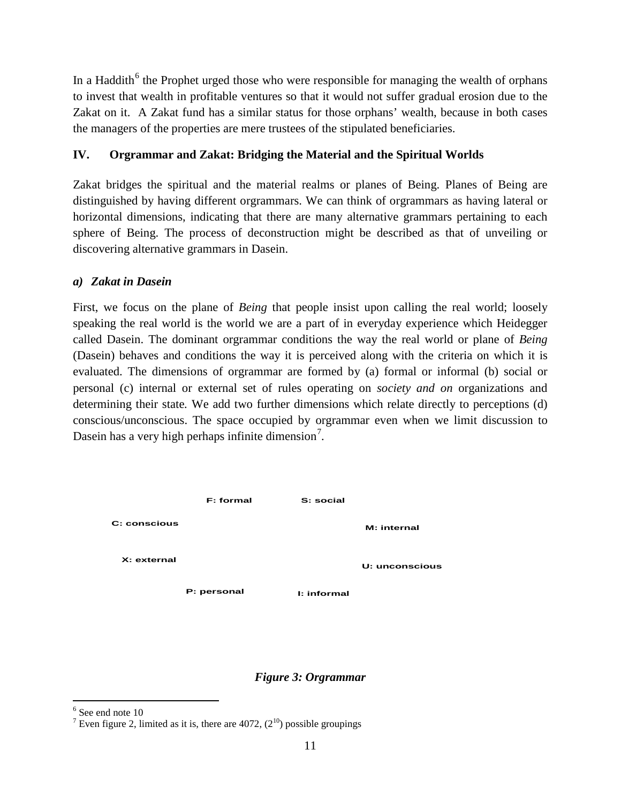In a Haddith<sup> $6$ </sup> the Prophet urged those who were responsible for managing the wealth of orphans to invest that wealth in profitable ventures so that it would not suffer gradual erosion due to the Zakat on it. A Zakat fund has a similar status for those orphans' wealth, because in both cases the managers of the properties are mere trustees of the stipulated beneficiaries.

## **IV. Orgrammar and Zakat: Bridging the Material and the Spiritual Worlds**

Zakat bridges the spiritual and the material realms or planes of Being. Planes of Being are distinguished by having different orgrammars. We can think of orgrammars as having lateral or horizontal dimensions, indicating that there are many alternative grammars pertaining to each sphere of Being. The process of deconstruction might be described as that of unveiling or discovering alternative grammars in Dasein.

## *a) Zakat in Dasein*

First, we focus on the plane of *Being* that people insist upon calling the real world; loosely speaking the real world is the world we are a part of in everyday experience which Heidegger called Dasein. The dominant orgrammar conditions the way the real world or plane of *Being*  (Dasein) behaves and conditions the way it is perceived along with the criteria on which it is evaluated. The dimensions of orgrammar are formed by (a) formal or informal (b) social or personal (c) internal or external set of rules operating on *society and on* organizations and determining their state*.* We add two further dimensions which relate directly to perceptions (d) conscious/unconscious. The space occupied by orgrammar even when we limit discussion to Dasein has a very high perhaps infinite dimension<sup>[7](#page-10-0)</sup>.



## *Figure 3: Orgrammar*

 $<sup>6</sup>$  See end note 10</sup>

<span id="page-10-0"></span><sup>&</sup>lt;sup>7</sup> Even figure 2, limited as it is, there are 4072,  $(2^{10})$  possible groupings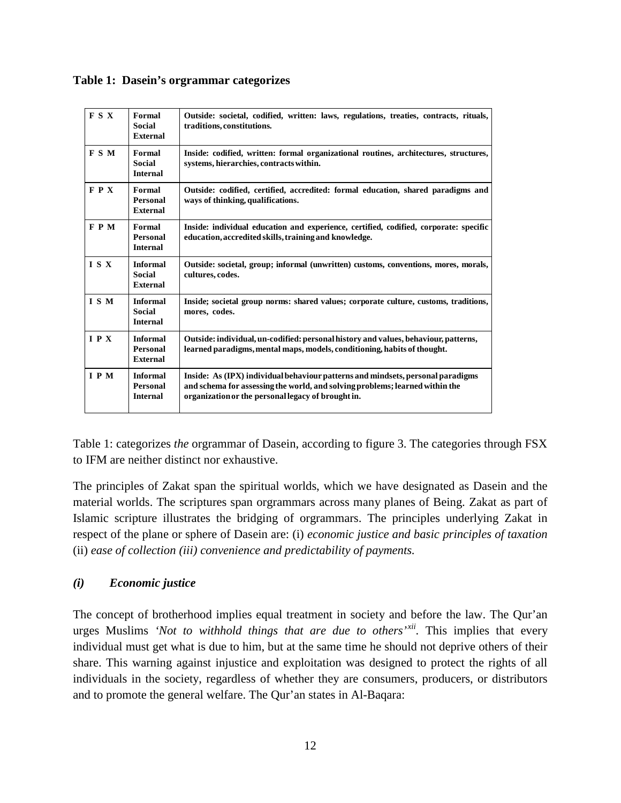|  |  | Table 1: Dasein's orgrammar categorizes |  |
|--|--|-----------------------------------------|--|
|--|--|-----------------------------------------|--|

| <b>FSX</b> | Formal<br><b>Social</b><br><b>External</b>            | Outside: societal, codified, written: laws, regulations, treaties, contracts, rituals,<br>traditions, constitutions.                                                                                                  |  |
|------------|-------------------------------------------------------|-----------------------------------------------------------------------------------------------------------------------------------------------------------------------------------------------------------------------|--|
| <b>FSM</b> | Formal<br>Social<br><b>Internal</b>                   | Inside: codified, written: formal organizational routines, architectures, structures,<br>systems, hierarchies, contracts within.                                                                                      |  |
| <b>FPX</b> | Formal<br><b>Personal</b><br><b>External</b>          | Outside: codified, certified, accredited: formal education, shared paradigms and<br>ways of thinking, qualifications.                                                                                                 |  |
| <b>FPM</b> | Formal<br><b>Personal</b><br><b>Internal</b>          | Inside: individual education and experience, certified, codified, corporate: specific<br>education, accredited skills, training and knowledge.                                                                        |  |
| ISX        | <b>Informal</b><br><b>Social</b><br><b>External</b>   | Outside: societal, group; informal (unwritten) customs, conventions, mores, morals,<br>cultures, codes.                                                                                                               |  |
| I S M      | <b>Informal</b><br><b>Social</b><br><b>Internal</b>   | Inside; societal group norms: shared values; corporate culture, customs, traditions,<br>mores, codes.                                                                                                                 |  |
| I P X      | <b>Informal</b><br>Personal<br><b>External</b>        | Outside: individual, un-codified: personal history and values, behaviour, patterns,<br>learned paradigms, mental maps, models, conditioning, habits of thought.                                                       |  |
| I P M      | <b>Informal</b><br><b>Personal</b><br><b>Internal</b> | Inside: As (IPX) individual behaviour patterns and mindsets, personal paradigms<br>and schema for assessing the world, and solving problems; learned within the<br>organization or the personal legacy of brought in. |  |

Table 1: categorizes *the* orgrammar of Dasein, according to figure 3. The categories through FSX to IFM are neither distinct nor exhaustive.

The principles of Zakat span the spiritual worlds, which we have designated as Dasein and the material worlds. The scriptures span orgrammars across many planes of Being. Zakat as part of Islamic scripture illustrates the bridging of orgrammars. The principles underlying Zakat in respect of the plane or sphere of Dasein are: (i) *economic justice and basic principles of taxation*  (ii) *ease of collection (iii) convenience and predictability of payments.*

# *(i) Economic justice*

The concept of brotherhood implies equal treatment in society and before the law. The Qur'an urges Muslims *'Not to withhold things that are due to others' [xii](#page-16-11).* This implies that every individual must get what is due to him, but at the same time he should not deprive others of their share. This warning against injustice and exploitation was designed to protect the rights of all individuals in the society, regardless of whether they are consumers, producers, or distributors and to promote the general welfare. The Qur'an states in Al-Baqara: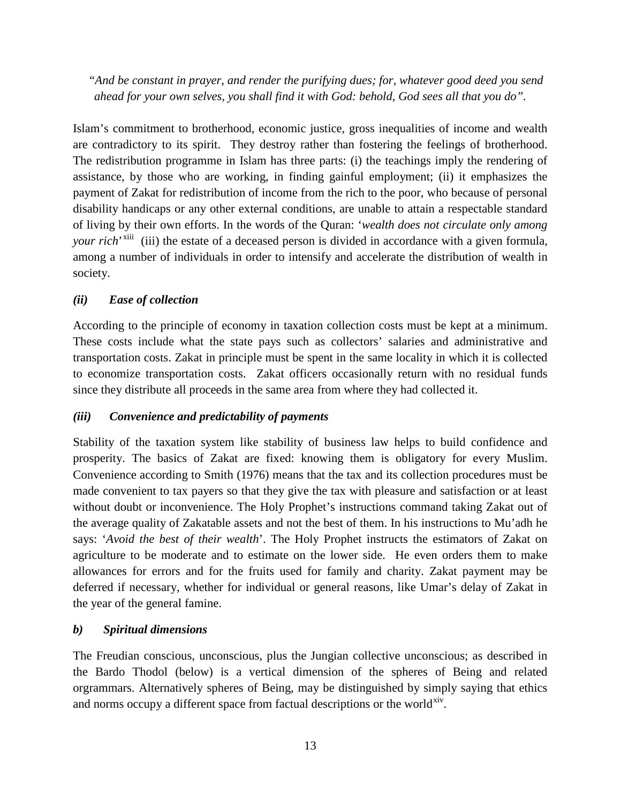*"And be constant in prayer, and render the purifying dues; for, whatever good deed you send ahead for your own selves, you shall find it with God: behold, God sees all that you do".* 

Islam's commitment to brotherhood, economic justice, gross inequalities of income and wealth are contradictory to its spirit. They destroy rather than fostering the feelings of brotherhood. The redistribution programme in Islam has three parts: (i) the teachings imply the rendering of assistance, by those who are working, in finding gainful employment; (ii) it emphasizes the payment of Zakat for redistribution of income from the rich to the poor, who because of personal disability handicaps or any other external conditions, are unable to attain a respectable standard of living by their own efforts. In the words of the Quran: '*wealth does not circulate only among your rich*<sup>, [xiii](#page-16-12)</sup> (iii) the estate of a deceased person is divided in accordance with a given formula, among a number of individuals in order to intensify and accelerate the distribution of wealth in society.

## *(ii) Ease of collection*

According to the principle of economy in taxation collection costs must be kept at a minimum. These costs include what the state pays such as collectors' salaries and administrative and transportation costs. Zakat in principle must be spent in the same locality in which it is collected to economize transportation costs. Zakat officers occasionally return with no residual funds since they distribute all proceeds in the same area from where they had collected it.

## *(iii) Convenience and predictability of payments*

Stability of the taxation system like stability of business law helps to build confidence and prosperity. The basics of Zakat are fixed: knowing them is obligatory for every Muslim. Convenience according to Smith (1976) means that the tax and its collection procedures must be made convenient to tax payers so that they give the tax with pleasure and satisfaction or at least without doubt or inconvenience. The Holy Prophet's instructions command taking Zakat out of the average quality of Zakatable assets and not the best of them. In his instructions to Mu'adh he says: '*Avoid the best of their wealth*'. The Holy Prophet instructs the estimators of Zakat on agriculture to be moderate and to estimate on the lower side. He even orders them to make allowances for errors and for the fruits used for family and charity. Zakat payment may be deferred if necessary, whether for individual or general reasons, like Umar's delay of Zakat in the year of the general famine.

## *b) Spiritual dimensions*

The Freudian conscious, unconscious, plus the Jungian collective unconscious; as described in the Bardo Thodol (below) is a vertical dimension of the spheres of Being and related orgrammars. Alternatively spheres of Being, may be distinguished by simply saying that ethics and norms occupy a different space from factual descriptions or the world $x<sup>iv</sup>$ .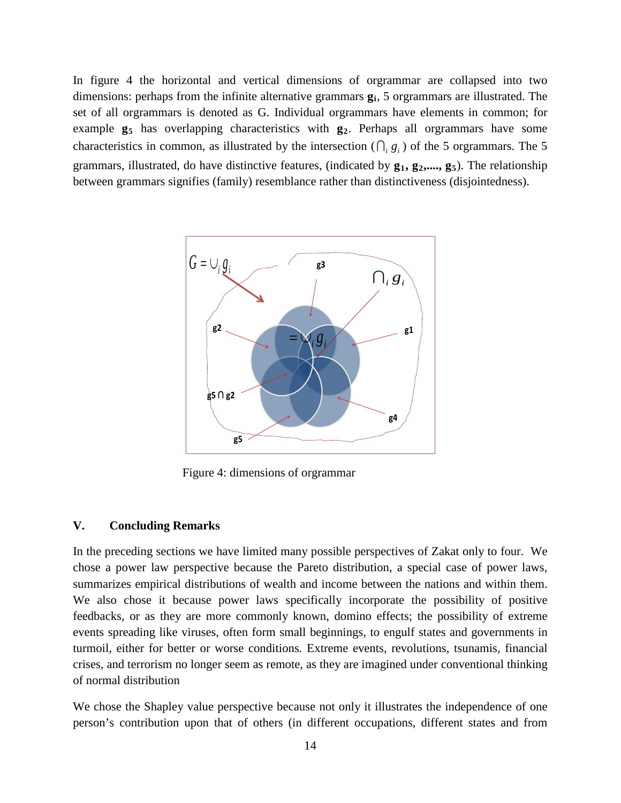In figure 4 the horizontal and vertical dimensions of orgrammar are collapsed into two dimensions: perhaps from the infinite alternative grammars **gi**, 5 orgrammars are illustrated. The set of all orgrammars is denoted as G. Individual orgrammars have elements in common; for example  $g_5$  has overlapping characteristics with  $g_2$ . Perhaps all orgrammars have some characteristics in common, as illustrated by the intersection  $( \bigcap_i g_i)$  of the 5 orgrammars. The 5 grammars, illustrated, do have distinctive features, (indicated by  $g_1, g_2, ..., g_5$ ). The relationship between grammars signifies (family) resemblance rather than distinctiveness (disjointedness).



Figure 4: dimensions of orgrammar

#### **V. Concluding Remarks**

In the preceding sections we have limited many possible perspectives of Zakat only to four. We chose a power law perspective because the Pareto distribution, a special case of power laws, summarizes empirical distributions of wealth and income between the nations and within them. We also chose it because power laws specifically incorporate the possibility of positive feedbacks, or as they are more commonly known, domino effects; the possibility of extreme events spreading like viruses, often form small beginnings, to engulf states and governments in turmoil, either for better or worse conditions*.* Extreme events, revolutions, tsunamis, financial crises, and terrorism no longer seem as remote, as they are imagined under conventional thinking of normal distribution

We chose the Shapley value perspective because not only it illustrates the independence of one person's contribution upon that of others (in different occupations, different states and from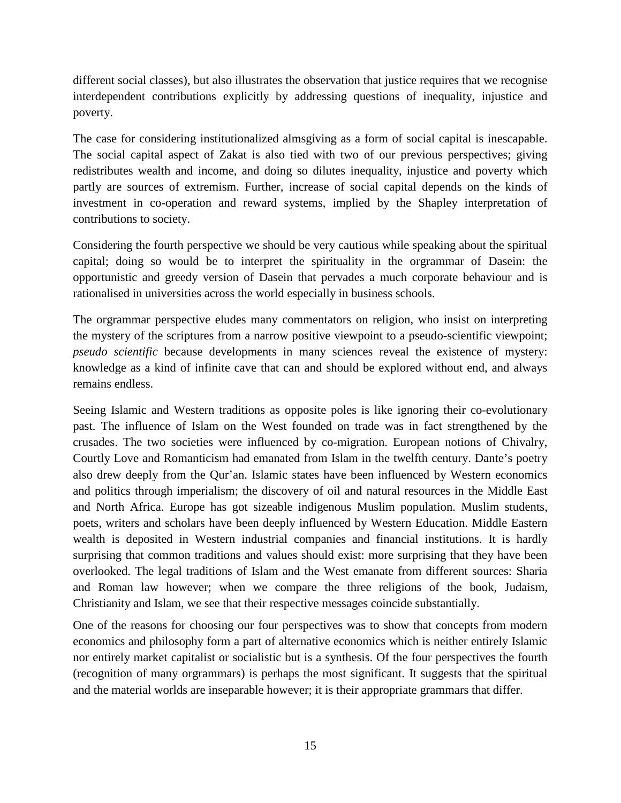different social classes), but also illustrates the observation that justice requires that we recognise interdependent contributions explicitly by addressing questions of inequality, injustice and poverty.

The case for considering institutionalized almsgiving as a form of social capital is inescapable. The social capital aspect of Zakat is also tied with two of our previous perspectives; giving redistributes wealth and income, and doing so dilutes inequality, injustice and poverty which partly are sources of extremism. Further, increase of social capital depends on the kinds of investment in co-operation and reward systems, implied by the Shapley interpretation of contributions to society.

Considering the fourth perspective we should be very cautious while speaking about the spiritual capital; doing so would be to interpret the spirituality in the orgrammar of Dasein: the opportunistic and greedy version of Dasein that pervades a much corporate behaviour and is rationalised in universities across the world especially in business schools.

The orgrammar perspective eludes many commentators on religion, who insist on interpreting the mystery of the scriptures from a narrow positive viewpoint to a pseudo-scientific viewpoint; *pseudo scientific* because developments in many sciences reveal the existence of mystery: knowledge as a kind of infinite cave that can and should be explored without end, and always remains endless.

Seeing Islamic and Western traditions as opposite poles is like ignoring their co-evolutionary past. The influence of Islam on the West founded on trade was in fact strengthened by the crusades. The two societies were influenced by co-migration. European notions of Chivalry, Courtly Love and Romanticism had emanated from Islam in the twelfth century. Dante's poetry also drew deeply from the Qur'an. Islamic states have been influenced by Western economics and politics through imperialism; the discovery of oil and natural resources in the Middle East and North Africa. Europe has got sizeable indigenous Muslim population. Muslim students, poets, writers and scholars have been deeply influenced by Western Education. Middle Eastern wealth is deposited in Western industrial companies and financial institutions. It is hardly surprising that common traditions and values should exist: more surprising that they have been overlooked. The legal traditions of Islam and the West emanate from different sources: Sharia and Roman law however; when we compare the three religions of the book, Judaism, Christianity and Islam, we see that their respective messages coincide substantially.

One of the reasons for choosing our four perspectives was to show that concepts from modern economics and philosophy form a part of alternative economics which is neither entirely Islamic nor entirely market capitalist or socialistic but is a synthesis. Of the four perspectives the fourth (recognition of many orgrammars) is perhaps the most significant. It suggests that the spiritual and the material worlds are inseparable however; it is their appropriate grammars that differ.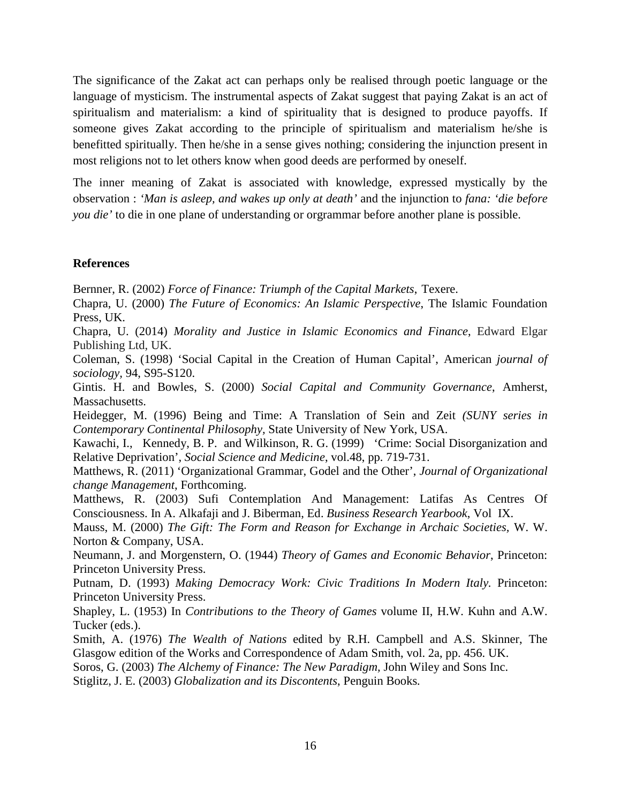The significance of the Zakat act can perhaps only be realised through poetic language or the language of mysticism. The instrumental aspects of Zakat suggest that paying Zakat is an act of spiritualism and materialism: a kind of spirituality that is designed to produce payoffs. If someone gives Zakat according to the principle of spiritualism and materialism he/she is benefitted spiritually. Then he/she in a sense gives nothing; considering the injunction present in most religions not to let others know when good deeds are performed by oneself.

The inner meaning of Zakat is associated with knowledge, expressed mystically by the observation : *'Man is asleep, and wakes up only at death'* and the injunction to *fana: 'die before you die'* to die in one plane of understanding or orgrammar before another plane is possible.

### **References**

Bernner, R. (2002) *Force of Finance: Triumph of the Capital Markets*, Texere.

Chapra, U. (2000) *The Future of Economics: An Islamic Perspective*, The Islamic Foundation Press, UK.

Chapra, U. (2014) *[Morality and Justice in Islamic Economics and Finance](http://books.google.com/books?hl=en&lr=&id=NPyYBAAAQBAJ&oi=fnd&pg=PR1&dq=info:8gH_BuqIQGQJ:scholar.google.com&ots=EbhgX17YNr&sig=fvlN5IN0eQ-02_pCyIG-QskZdxw)*, Edward Elgar Publishing Ltd, UK.

Coleman, S. (1998) 'Social Capital in the Creation of Human Capital', American *journal of sociology,* 94, S95-S120.

Gintis. H. and Bowles, S. (2000) *Social Capital and Community Governance*, Amherst, Massachusetts.

Heidegger, M. (1996) Being and Time: A Translation of Sein and Zeit *(SUNY series in Contemporary Continental Philosophy,* State University of New York, USA.

Kawachi, I., Kennedy, B. P. and Wilkinson, R. G. (1999) 'Crime: Social Disorganization and Relative Deprivation', *Social Science and Medicine*, vol.48, pp. 719-731.

Matthews, R. (2011) 'Organizational Grammar, Godel and the Other', *Journal of Organizational change Management*, Forthcoming.

Matthews, R. (2003) Sufi Contemplation And Management: Latifas As Centres Of Consciousness. In A. Alkafaji and J. Biberman, Ed. *Business Research Yearbook*, Vol IX.

Mauss, M. (2000) *The Gift: The Form and Reason for Exchange in Archaic Societies,* W. W. Norton & Company, USA.

Neumann, J. and Morgenstern, O. (1944) *Theory of Games and Economic Behavior*, Princeton: Princeton University Press.

Putnam, D. (1993) *Making Democracy Work: Civic Traditions In Modern Italy.* Princeton: Princeton University Press.

Shapley, L. (1953) In *Contributions to the Theory of Games* volume II, H.W. Kuhn and A.W. Tucker (eds.).

Smith, A. (1976) *The Wealth of Nations* edited by R.H. Campbell and A.S. Skinner, The Glasgow edition of the Works and Correspondence of Adam Smith, vol. 2a, pp. 456. UK.

Soros, G. (2003) *The Alchemy of Finance: The New Paradigm,* John Wiley and Sons Inc.

Stiglitz, J. E. (2003) *Globalization and its Discontents*, Penguin Books*.*